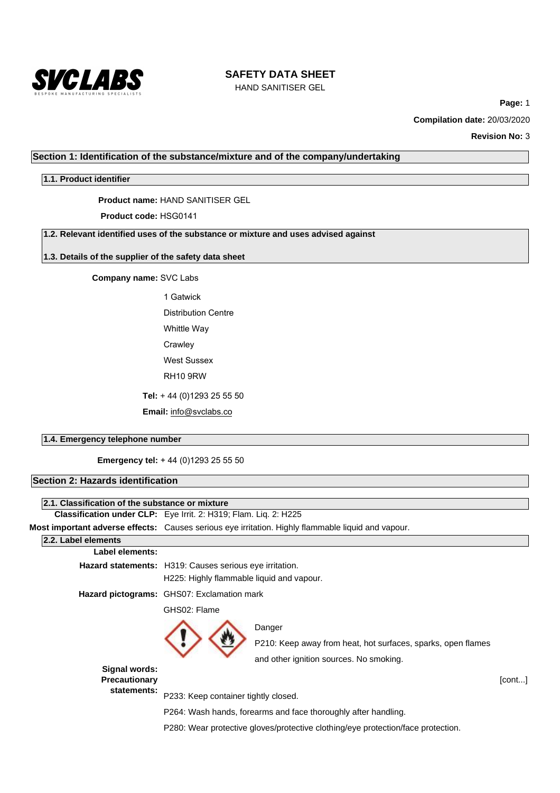

HAND SANITISER GEL

**Page:** 1

**Compilation date:** 20/03/2020

**Revision No:** 3

## **Section 1: Identification of the substance/mixture and of the company/undertaking**

## **1.1. Product identifier**

**Product name:** HAND SANITISER GEL

## **Product code:** HSG0141

**1.2. Relevant identified uses of the substance or mixture and uses advised against**

## **1.3. Details of the supplier of the safety data sheet**

**Company name:** SVC Labs

1 Gatwick Distribution Centre Whittle Way

Crawley

West Sussex

RH10 9RW

**Tel:** + 44 (0)1293 25 55 50

**Email:** info@svclabs.co

## **1.4. Emergency telephone number**

**Emergency tel:** + 44 (0)1293 25 55 50

| <b>Section 2: Hazards identification</b>        |                                                                         |                                                                                                    |        |  |  |
|-------------------------------------------------|-------------------------------------------------------------------------|----------------------------------------------------------------------------------------------------|--------|--|--|
|                                                 |                                                                         |                                                                                                    |        |  |  |
| 2.1. Classification of the substance or mixture |                                                                         |                                                                                                    |        |  |  |
|                                                 | <b>Classification under CLP:</b> Eye Irrit. 2: H319; Flam. Liq. 2: H225 |                                                                                                    |        |  |  |
|                                                 |                                                                         | Most important adverse effects: Causes serious eye irritation. Highly flammable liquid and vapour. |        |  |  |
| 2.2. Label elements                             |                                                                         |                                                                                                    |        |  |  |
| Label elements:                                 |                                                                         |                                                                                                    |        |  |  |
|                                                 | Hazard statements: H319: Causes serious eye irritation.                 |                                                                                                    |        |  |  |
|                                                 | H225: Highly flammable liquid and vapour.                               |                                                                                                    |        |  |  |
|                                                 | Hazard pictograms: GHS07: Exclamation mark                              |                                                                                                    |        |  |  |
|                                                 | GHS02: Flame                                                            |                                                                                                    |        |  |  |
|                                                 |                                                                         | Danger                                                                                             |        |  |  |
|                                                 |                                                                         | P210: Keep away from heat, hot surfaces, sparks, open flames                                       |        |  |  |
|                                                 |                                                                         | and other ignition sources. No smoking.                                                            |        |  |  |
| Signal words:<br><b>Precautionary</b>           |                                                                         |                                                                                                    | [cont] |  |  |
| statements:                                     | P233: Keep container tightly closed.                                    |                                                                                                    |        |  |  |
|                                                 |                                                                         | P264: Wash hands, forearms and face thoroughly after handling.                                     |        |  |  |
|                                                 |                                                                         | P280: Wear protective gloves/protective clothing/eye protection/face protection.                   |        |  |  |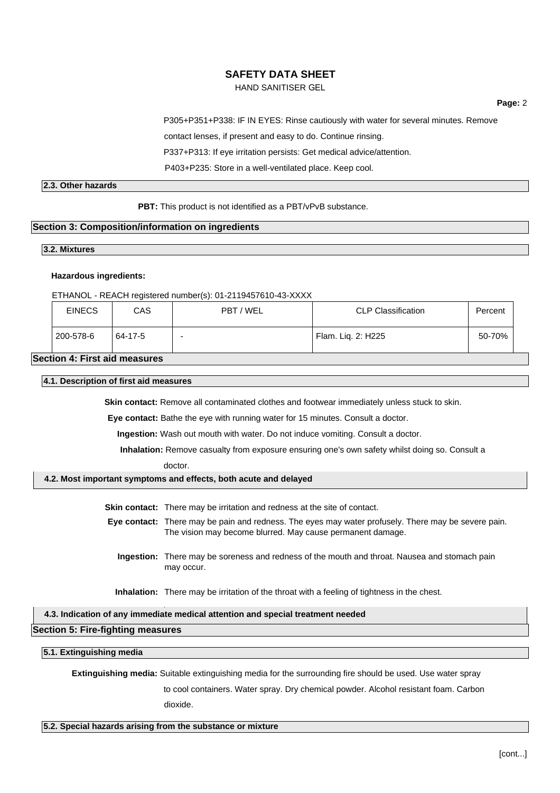HAND SANITISER GEL

**Page:** 2

P305+P351+P338: IF IN EYES: Rinse cautiously with water for several minutes. Remove

contact lenses, if present and easy to do. Continue rinsing.

P337+P313: If eye irritation persists: Get medical advice/attention.

P403+P235: Store in a well-ventilated place. Keep cool.

## **2.3. Other hazards**

**PBT:** This product is not identified as a PBT/vPvB substance.

## **Section 3: Composition/information on ingredients**

## **3.2. Mixtures**

#### **Hazardous ingredients:**

#### ETHANOL - REACH registered number(s): 01-2119457610-43-XXXX

| <b>EINECS</b>                 | CAS     | PBT / WEL | <b>CLP Classification</b> | Percent |  |
|-------------------------------|---------|-----------|---------------------------|---------|--|
| 200-578-6                     | 64-17-5 |           | Flam. Lig. 2: H225        | 50-70%  |  |
| Section 4: First aid measures |         |           |                           |         |  |

## **4.1. Description of first aid measures**

**Skin contact:** Remove all contaminated clothes and footwear immediately unless stuck to skin.

**Eye contact:** Bathe the eye with running water for 15 minutes. Consult a doctor.

**Ingestion:** Wash out mouth with water. Do not induce vomiting. Consult a doctor.

**Inhalation:** Remove casualty from exposure ensuring one's own safety whilst doing so. Consult a

#### doctor.

## **4.2. Most important symptoms and effects, both acute and delayed**

**Skin contact:** There may be irritation and redness at the site of contact.

- **Eye contact:** There may be pain and redness. The eyes may water profusely. There may be severe pain. The vision may become blurred. May cause permanent damage.
	- **Ingestion:** There may be soreness and redness of the mouth and throat. Nausea and stomach pain may occur.

**Inhalation:** There may be irritation of the throat with a feeling of tightness in the chest.

## **4.3. Indication of any immediate medical attention and special treatment needed**

## **Section 5: Fire-fighting measures**

#### **5.1. Extinguishing media**

**Extinguishing media:** Suitable extinguishing media for the surrounding fire should be used. Use water spray

to cool containers. Water spray. Dry chemical powder. Alcohol resistant foam. Carbon

dioxide.

## **5.2. Special hazards arising from the substance or mixture**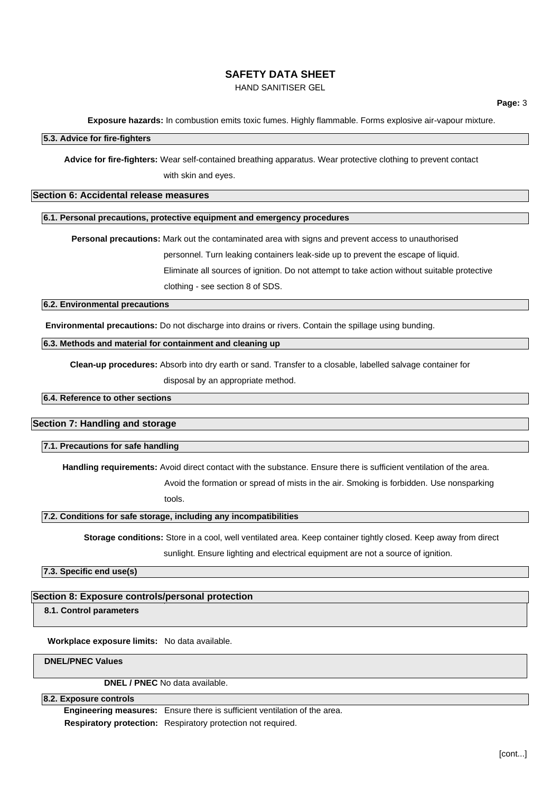HAND SANITISER GEL

**Exposure hazards:** In combustion emits toxic fumes. Highly flammable. Forms explosive air-vapour mixture.

## **5.3. Advice for fire-fighters**

**Advice for fire-fighters:** Wear self-contained breathing apparatus. Wear protective clothing to prevent contact

with skin and eyes.

## **Section 6: Accidental release measures**

#### **6.1. Personal precautions, protective equipment and emergency procedures**

**Personal precautions:** Mark out the contaminated area with signs and prevent access to unauthorised

personnel. Turn leaking containers leak-side up to prevent the escape of liquid.

Eliminate all sources of ignition. Do not attempt to take action without suitable protective

clothing - see section 8 of SDS.

## **6.2. Environmental precautions**

**Environmental precautions:** Do not discharge into drains or rivers. Contain the spillage using bunding.

## **6.3. Methods and material for containment and cleaning up**

**Clean-up procedures:** Absorb into dry earth or sand. Transfer to a closable, labelled salvage container for

disposal by an appropriate method.

**6.4. Reference to other sections**

#### **Section 7: Handling and storage**

#### **7.1. Precautions for safe handling**

**Handling requirements:** Avoid direct contact with the substance. Ensure there is sufficient ventilation of the area.

Avoid the formation or spread of mists in the air. Smoking is forbidden. Use nonsparking

tools.

#### **7.2. Conditions for safe storage, including any incompatibilities**

**Storage conditions:** Store in a cool, well ventilated area. Keep container tightly closed. Keep away from direct

sunlight. Ensure lighting and electrical equipment are not a source of ignition.

**7.3. Specific end use(s)**

## **Section 8: Exposure controls/personal protection**

**8.1. Control parameters**

**Workplace exposure limits:** No data available.

**DNEL/PNEC Values**

**DNEL / PNEC** No data available.

## **8.2. Exposure controls**

**Engineering measures:** Ensure there is sufficient ventilation of the area. **Respiratory protection:** Respiratory protection not required.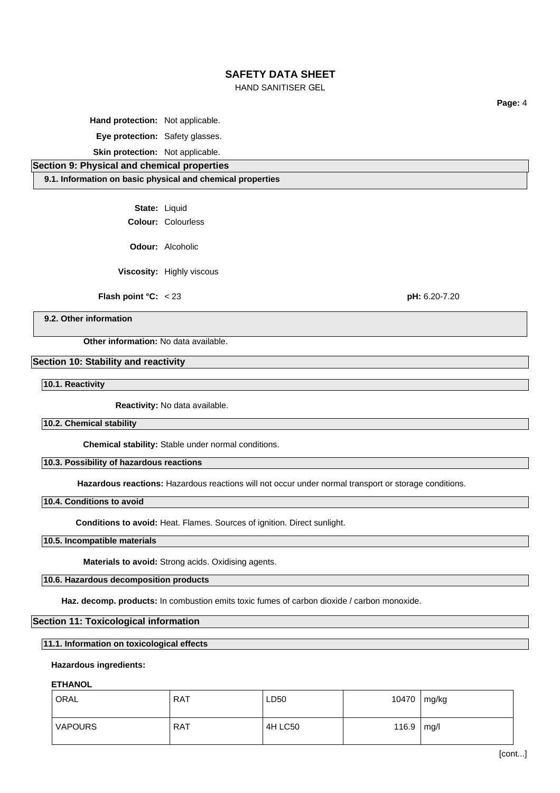HAND SANITISER GEL

**Hand protection:** Not applicable.

**Eye protection:** Safety glasses.

**Skin protection:** Not applicable.

**Section 9: Physical and chemical properties**

**9.1. Information on basic physical and chemical properties**

**State:** Liquid

**Colour:** Colourless

**Odour:** Alcoholic

**Viscosity:** Highly viscous

**Flash point °C:** < 23 **pH:** 6.20-7.20

**Page:** 4

**9.2. Other information**

**Other information:** No data available.

## **Section 10: Stability and reactivity**

**10.1. Reactivity**

**Reactivity:** No data available.

**10.2. Chemical stability**

**Chemical stability:** Stable under normal conditions.

## **10.3. Possibility of hazardous reactions**

**Hazardous reactions:** Hazardous reactions will not occur under normal transport or storage conditions.

## **10.4. Conditions to avoid**

**Conditions to avoid:** Heat. Flames. Sources of ignition. Direct sunlight.

## **10.5. Incompatible materials**

**Materials to avoid:** Strong acids. Oxidising agents.

## **10.6. Hazardous decomposition products**

**Haz. decomp. products:** In combustion emits toxic fumes of carbon dioxide / carbon monoxide.

## **Section 11: Toxicological information**

# **11.1. Information on toxicological effects**

## **Hazardous ingredients:**

## **ETHANOL**

| ORAL           | <b>RAT</b> | LD50    | 10470 | mg/kg |  |
|----------------|------------|---------|-------|-------|--|
| <b>VAPOURS</b> | <b>RAT</b> | 4H LC50 | 116.9 | mg/l  |  |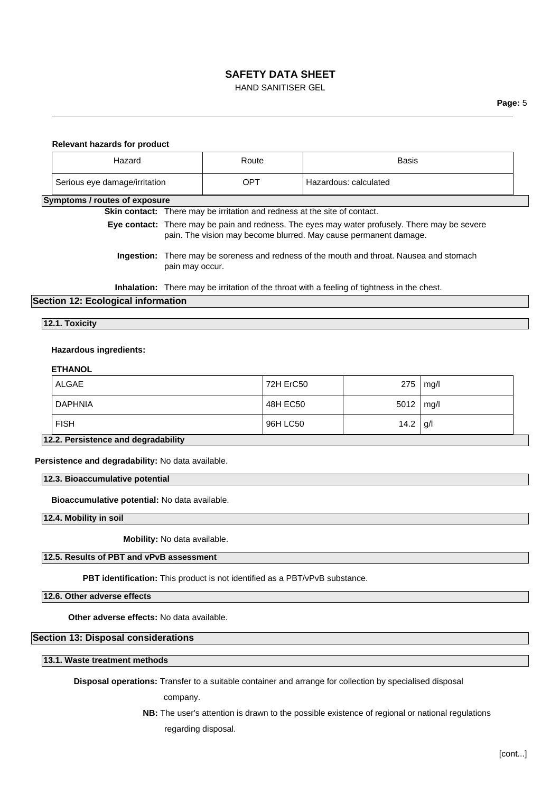HAND SANITISER GEL

#### **Relevant hazards for product:**

| Hazard                        | Route | Basis                 |
|-------------------------------|-------|-----------------------|
| Serious eye damage/irritation | OPT   | Hazardous: calculated |

## **Symptoms / routes of exposure**

**Skin contact:** There may be irritation and redness at the site of contact. **Eye contact:** There may be pain and redness. The eyes may water profusely. There may be severe pain. The vision may become blurred. May cause permanent damage. **Ingestion:** There may be soreness and redness of the mouth and throat. Nausea and stomach

pain may occur.

**Inhalation:** There may be irritation of the throat with a feeling of tightness in the chest.

## **Section 12: Ecological information**

#### **12.1. Toxicity**

## **Hazardous ingredients:**

## **ETHANOL**

| 12.2. Persistence and degradability |           |            |      |
|-------------------------------------|-----------|------------|------|
| <b>FISH</b>                         | 96H LC50  | 14.2 $ g $ |      |
| <b>DAPHNIA</b>                      | 48H EC50  | 5012       | mg/l |
| ALGAE                               | 72H ErC50 | 275        | mq/l |

**Persistence and degradability:** No data available.

**12.3. Bioaccumulative potential**

**Bioaccumulative potential:** No data available.

**12.4. Mobility in soil**

**Mobility:** No data available.

## **12.5. Results of PBT and vPvB assessment**

**PBT identification:** This product is not identified as a PBT/vPvB substance.

**12.6. Other adverse effects**

**Other adverse effects:** No data available.

#### **Section 13: Disposal considerations**

**13.1. Waste treatment methods**

**Disposal operations:** Transfer to a suitable container and arrange for collection by specialised disposal

company.

**NB:** The user's attention is drawn to the possible existence of regional or national regulations regarding disposal.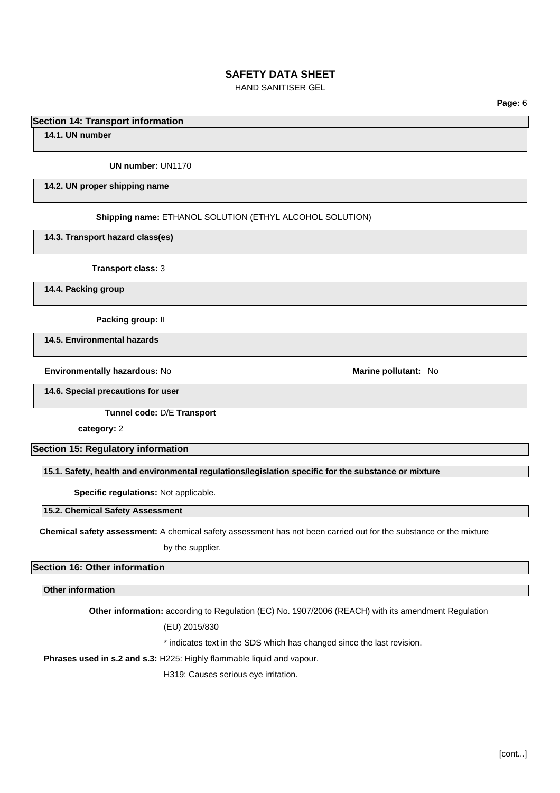HAND SANITISER GEL

**Page:** 6

## **Section 14: Transport information**

**14.1. UN number**

#### **UN number:** UN1170

#### **14.2. UN proper shipping name**

#### **Shipping name:** ETHANOL SOLUTION (ETHYL ALCOHOL SOLUTION)

**14.3. Transport hazard class(es)**

**Transport class:** 3

**14.4. Packing group**

**Packing group:** II

**14.5. Environmental hazards**

**Environmentally hazardous: No <b>Marine pollutant:** No **Marine pollutant:** No

**14.6. Special precautions for user**

**Tunnel code:** D/E **Transport** 

**category:** 2

**Section 15: Regulatory information**

**15.1. Safety, health and environmental regulations/legislation specific for the substance or mixture**

**Specific regulations:** Not applicable.

**15.2. Chemical Safety Assessment**

**Chemical safety assessment:** A chemical safety assessment has not been carried out for the substance or the mixture

by the supplier.

## **Section 16: Other information**

**Other information**

**Other information:** according to Regulation (EC) No. 1907/2006 (REACH) with its amendment Regulation

(EU) 2015/830

\* indicates text in the SDS which has changed since the last revision.

**Phrases used in s.2 and s.3:** H225: Highly flammable liquid and vapour.

H319: Causes serious eye irritation.